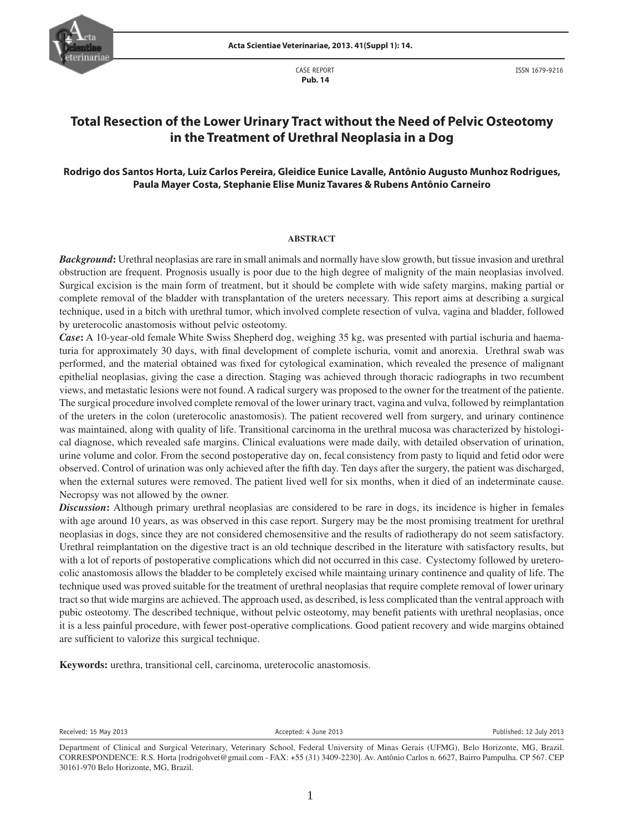

 CASE REPORT  **Pub. 14**

ISSN 1679-9216

# **Total Resection of the Lower Urinary Tract without the Need of Pelvic Osteotomy in the Treatment of Urethral Neoplasia in a Dog**

# **Rodrigo dos Santos Horta, Luiz Carlos Pereira, Gleidice Eunice Lavalle, Antônio Augusto Munhoz Rodrigues, Paula Mayer Costa, Stephanie Elise Muniz Tavares & Rubens Antônio Carneiro**

#### **ABSTRACT**

*Background***:** Urethral neoplasias are rare in small animals and normally have slow growth, but tissue invasion and urethral obstruction are frequent. Prognosis usually is poor due to the high degree of malignity of the main neoplasias involved. Surgical excision is the main form of treatment, but it should be complete with wide safety margins, making partial or complete removal of the bladder with transplantation of the ureters necessary. This report aims at describing a surgical technique, used in a bitch with urethral tumor, which involved complete resection of vulva, vagina and bladder, followed by ureterocolic anastomosis without pelvic osteotomy.

*Case*: A 10-year-old female White Swiss Shepherd dog, weighing 35 kg, was presented with partial ischuria and haematuria for approximately 30 days, with final development of complete ischuria, vomit and anorexia. Urethral swab was performed, and the material obtained was fixed for cytological examination, which revealed the presence of malignant epithelial neoplasias, giving the case a direction. Staging was achieved through thoracic radiographs in two recumbent views, and metastatic lesions were not found. A radical surgery was proposed to the owner for the treatment of the patiente. The surgical procedure involved complete removal of the lower urinary tract, vagina and vulva, followed by reimplantation of the ureters in the colon (ureterocolic anastomosis). The patient recovered well from surgery, and urinary continence was maintained, along with quality of life. Transitional carcinoma in the urethral mucosa was characterized by histological diagnose, which revealed safe margins. Clinical evaluations were made daily, with detailed observation of urination, urine volume and color. From the second postoperative day on, fecal consistency from pasty to liquid and fetid odor were observed. Control of urination was only achieved after the fifth day. Ten days after the surgery, the patient was discharged, when the external sutures were removed. The patient lived well for six months, when it died of an indeterminate cause. Necropsy was not allowed by the owner.

*Discussion***:** Although primary urethral neoplasias are considered to be rare in dogs, its incidence is higher in females with age around 10 years, as was observed in this case report. Surgery may be the most promising treatment for urethral neoplasias in dogs, since they are not considered chemosensitive and the results of radiotherapy do not seem satisfactory. Urethral reimplantation on the digestive tract is an old technique described in the literature with satisfactory results, but with a lot of reports of postoperative complications which did not occurred in this case. Cystectomy followed by ureterocolic anastomosis allows the bladder to be completely excised while maintaing urinary continence and quality of life. The technique used was proved suitable for the treatment of urethral neoplasias that require complete removal of lower urinary tract so that wide margins are achieved. The approach used, as described, is less complicated than the ventral approach with pubic osteotomy. The described technique, without pelvic osteotomy, may benefit patients with urethral neoplasias, once it is a less painful procedure, with fewer post-operative complications. Good patient recovery and wide margins obtained are sufficient to valorize this surgical technique.

**Keywords:** urethra, transitional cell, carcinoma, ureterocolic anastomosis.

Received: 15 May 2013 Accepted: 4 June 2013 Published: 12 July 2013

Department of Clinical and Surgical Veterinary, Veterinary School, Federal University of Minas Gerais (UFMG), Belo Horizonte, MG, Brazil. CORRESPONDENCE: R.S. Horta [rodrigohvet@gmail.com - FAX: +55 (31) 3409-2230]. Av. Antônio Carlos n. 6627, Bairro Pampulha. CP 567. CEP 30161-970 Belo Horizonte, MG, Brazil.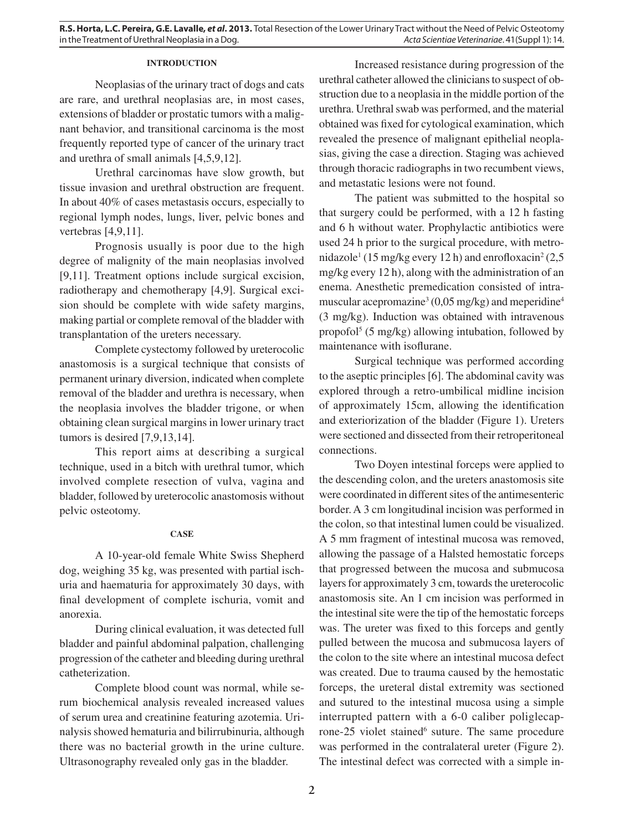### **INTRODUCTION**

Neoplasias of the urinary tract of dogs and cats are rare, and urethral neoplasias are, in most cases, extensions of bladder or prostatic tumors with a malignant behavior, and transitional carcinoma is the most frequently reported type of cancer of the urinary tract and urethra of small animals [4,5,9,12].

Urethral carcinomas have slow growth, but tissue invasion and urethral obstruction are frequent. In about 40% of cases metastasis occurs, especially to regional lymph nodes, lungs, liver, pelvic bones and vertebras [4,9,11].

Prognosis usually is poor due to the high degree of malignity of the main neoplasias involved [9,11]. Treatment options include surgical excision, radiotherapy and chemotherapy [4,9]. Surgical excision should be complete with wide safety margins, making partial or complete removal of the bladder with transplantation of the ureters necessary.

Complete cystectomy followed by ureterocolic anastomosis is a surgical technique that consists of permanent urinary diversion, indicated when complete removal of the bladder and urethra is necessary, when the neoplasia involves the bladder trigone, or when obtaining clean surgical margins in lower urinary tract tumors is desired [7,9,13,14].

This report aims at describing a surgical technique, used in a bitch with urethral tumor, which involved complete resection of vulva, vagina and bladder, followed by ureterocolic anastomosis without pelvic osteotomy.

### **CASE**

A 10-year-old female White Swiss Shepherd dog, weighing 35 kg, was presented with partial ischuria and haematuria for approximately 30 days, with final development of complete ischuria, vomit and anorexia.

During clinical evaluation, it was detected full bladder and painful abdominal palpation, challenging progression of the catheter and bleeding during urethral catheterization.

Complete blood count was normal, while serum biochemical analysis revealed increased values of serum urea and creatinine featuring azotemia. Urinalysis showed hematuria and bilirrubinuria, although there was no bacterial growth in the urine culture. Ultrasonography revealed only gas in the bladder.

Increased resistance during progression of the urethral catheter allowed the clinicians to suspect of obstruction due to a neoplasia in the middle portion of the urethra. Urethral swab was performed, and the material obtained was fixed for cytological examination, which revealed the presence of malignant epithelial neoplasias, giving the case a direction. Staging was achieved through thoracic radiographs in two recumbent views, and metastatic lesions were not found.

The patient was submitted to the hospital so that surgery could be performed, with a 12 h fasting and 6 h without water. Prophylactic antibiotics were used 24 h prior to the surgical procedure, with metronidazole<sup>1</sup> (15 mg/kg every 12 h) and enrofloxacin<sup>2</sup> (2,5 mg/kg every 12 h), along with the administration of an enema. Anesthetic premedication consisted of intramuscular acepromazine<sup>3</sup> (0,05 mg/kg) and meperidine<sup>4</sup> (3 mg/kg). Induction was obtained with intravenous propofol<sup>5</sup> (5 mg/kg) allowing intubation, followed by maintenance with isoflurane.

Surgical technique was performed according to the aseptic principles [6]. The abdominal cavity was explored through a retro-umbilical midline incision of approximately 15cm, allowing the identification and exteriorization of the bladder (Figure 1). Ureters were sectioned and dissected from their retroperitoneal connections.

Two Doyen intestinal forceps were applied to the descending colon, and the ureters anastomosis site were coordinated in different sites of the antimesenteric border. A 3 cm longitudinal incision was performed in the colon, so that intestinal lumen could be visualized. A 5 mm fragment of intestinal mucosa was removed, allowing the passage of a Halsted hemostatic forceps that progressed between the mucosa and submucosa layers for approximately 3 cm, towards the ureterocolic anastomosis site. An 1 cm incision was performed in the intestinal site were the tip of the hemostatic forceps was. The ureter was fixed to this forceps and gently pulled between the mucosa and submucosa layers of the colon to the site where an intestinal mucosa defect was created. Due to trauma caused by the hemostatic forceps, the ureteral distal extremity was sectioned and sutured to the intestinal mucosa using a simple interrupted pattern with a 6-0 caliber poliglecaprone-25 violet stained<sup>6</sup> suture. The same procedure was performed in the contralateral ureter (Figure 2). The intestinal defect was corrected with a simple in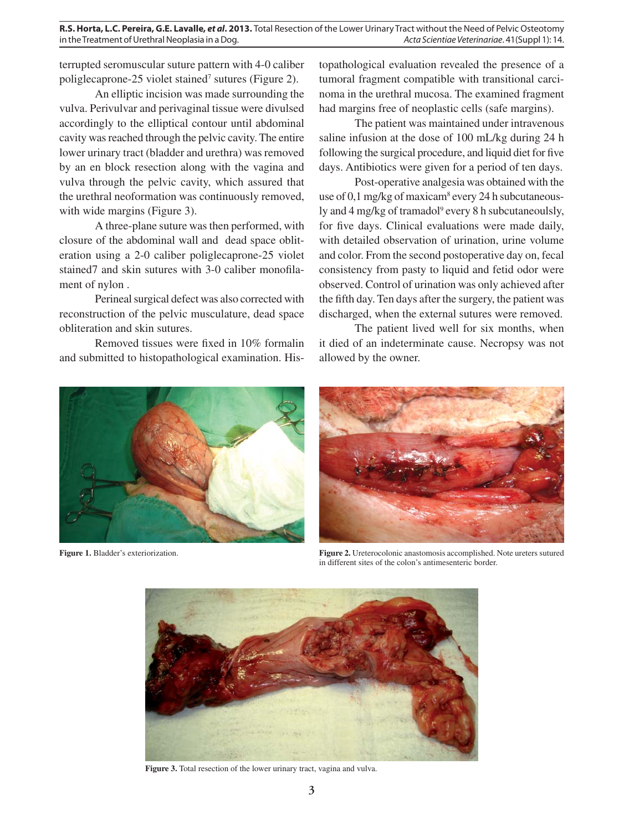**R.S. Horta, L.C. Pereira, G.E. Lavalle,** *et al***. 2013.** Total Resection of the Lower Urinary Tract without the Need of Pelvic Osteotomy in the Treatment of Urethral Neoplasia in a Dog.  $Acta$  Scientiae Veterinariae. 41(Suppl 1): 14.

terrupted seromuscular suture pattern with 4-0 caliber poliglecaprone-25 violet stained<sup>7</sup> sutures (Figure 2).

An elliptic incision was made surrounding the vulva. Perivulvar and perivaginal tissue were divulsed accordingly to the elliptical contour until abdominal cavity was reached through the pelvic cavity. The entire lower urinary tract (bladder and urethra) was removed by an en block resection along with the vagina and vulva through the pelvic cavity, which assured that the urethral neoformation was continuously removed, with wide margins (Figure 3).

A three-plane suture was then performed, with closure of the abdominal wall and dead space obliteration using a 2-0 caliber poliglecaprone-25 violet stained7 and skin sutures with 3-0 caliber monofilament of nylon .

Perineal surgical defect was also corrected with reconstruction of the pelvic musculature, dead space obliteration and skin sutures.

Removed tissues were fixed in 10% formalin and submitted to histopathological examination. His-

topathological evaluation revealed the presence of a tumoral fragment compatible with transitional carcinoma in the urethral mucosa. The examined fragment had margins free of neoplastic cells (safe margins).

The patient was maintained under intravenous saline infusion at the dose of 100 mL/kg during 24 h following the surgical procedure, and liquid diet for five days. Antibiotics were given for a period of ten days.

Post-operative analgesia was obtained with the use of 0,1 mg/kg of maxicam<sup>8</sup> every 24 h subcutaneously and 4 mg/kg of tramadol<sup>9</sup> every 8 h subcutaneoulsly, for five days. Clinical evaluations were made daily, with detailed observation of urination, urine volume and color. From the second postoperative day on, fecal consistency from pasty to liquid and fetid odor were observed. Control of urination was only achieved after the fifth day. Ten days after the surgery, the patient was discharged, when the external sutures were removed.

The patient lived well for six months, when it died of an indeterminate cause. Necropsy was not allowed by the owner.





**Figure 1.** Bladder's exteriorization. **Figure 2.** Ureterocolonic anastomosis accomplished. Note ureters sutured in different sites of the colon's antimesenteric border.



**Figure 3.** Total resection of the lower urinary tract, vagina and vulva.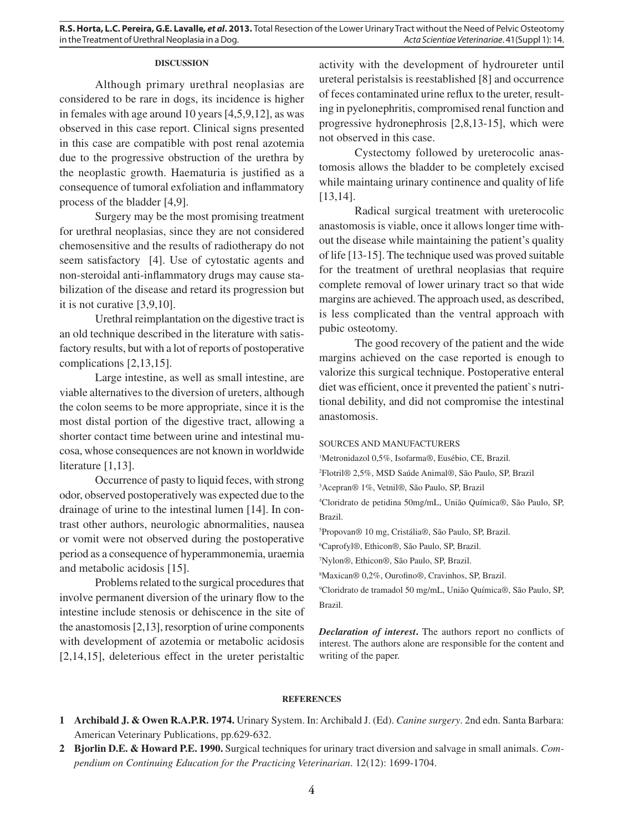## **DISCUSSION**

Although primary urethral neoplasias are considered to be rare in dogs, its incidence is higher in females with age around 10 years [4,5,9,12], as was observed in this case report. Clinical signs presented in this case are compatible with post renal azotemia due to the progressive obstruction of the urethra by the neoplastic growth. Haematuria is justified as a consequence of tumoral exfoliation and inflammatory process of the bladder [4,9].

Surgery may be the most promising treatment for urethral neoplasias, since they are not considered chemosensitive and the results of radiotherapy do not seem satisfactory [4]. Use of cytostatic agents and non-steroidal anti-inflammatory drugs may cause stabilization of the disease and retard its progression but it is not curative [3,9,10].

Urethral reimplantation on the digestive tract is an old technique described in the literature with satisfactory results, but with a lot of reports of postoperative complications [2,13,15].

Large intestine, as well as small intestine, are viable alternatives to the diversion of ureters, although the colon seems to be more appropriate, since it is the most distal portion of the digestive tract, allowing a shorter contact time between urine and intestinal mucosa, whose consequences are not known in worldwide literature [1,13].

Occurrence of pasty to liquid feces, with strong odor, observed postoperatively was expected due to the drainage of urine to the intestinal lumen [14]. In contrast other authors, neurologic abnormalities, nausea or vomit were not observed during the postoperative period as a consequence of hyperammonemia, uraemia and metabolic acidosis [15].

Problems related to the surgical procedures that involve permanent diversion of the urinary flow to the intestine include stenosis or dehiscence in the site of the anastomosis [2,13], resorption of urine components with development of azotemia or metabolic acidosis [2,14,15], deleterious effect in the ureter peristaltic

activity with the development of hydroureter until ureteral peristalsis is reestablished [8] and occurrence of feces contaminated urine reflux to the ureter, resulting in pyelonephritis, compromised renal function and progressive hydronephrosis [2,8,13-15], which were not observed in this case.

Cystectomy followed by ureterocolic anastomosis allows the bladder to be completely excised while maintaing urinary continence and quality of life [13,14].

Radical surgical treatment with ureterocolic anastomosis is viable, once it allows longer time without the disease while maintaining the patient's quality of life [13-15]. The technique used was proved suitable for the treatment of urethral neoplasias that require complete removal of lower urinary tract so that wide margins are achieved. The approach used, as described, is less complicated than the ventral approach with pubic osteotomy.

The good recovery of the patient and the wide margins achieved on the case reported is enough to valorize this surgical technique. Postoperative enteral diet was efficient, once it prevented the patient`s nutritional debility, and did not compromise the intestinal anastomosis.

#### SOURCES AND MANUFACTURERS

1 Metronidazol 0,5%, Isofarma®, Eusébio, CE, Brazil.

2 Flotril® 2,5%, MSD Saúde Animal®, São Paulo, SP, Brazil

3 Acepran® 1%, Vetnil®, São Paulo, SP, Brazil

4 Cloridrato de petidina 50mg/mL, União Química®, São Paulo, SP, Brazil.

5 Propovan® 10 mg, Cristália®, São Paulo, SP, Brazil.

6 Caprofyl®, Ethicon®, São Paulo, SP, Brazil.

7 Nylon®, Ethicon®, São Paulo, SP, Brazil.

8 Maxican® 0,2%, Ourofi no®, Cravinhos, SP, Brazil.

9 Cloridrato de tramadol 50 mg/mL, União Química®, São Paulo, SP, Brazil.

*Declaration of interest*. The authors report no conflicts of interest. The authors alone are responsible for the content and writing of the paper.

### **REFERENCES**

- **1 Archibald J. & Owen R.A.P.R. 1974.** Urinary System. In: Archibald J. (Ed). *Canine surgery*. 2nd edn. Santa Barbara: American Veterinary Publications, pp.629-632.
- **2 Bjorlin D.E. & Howard P.E. 1990.** Surgical techniques for urinary tract diversion and salvage in small animals. *Compendium on Continuing Education for the Practicing Veterinarian*. 12(12): 1699-1704.